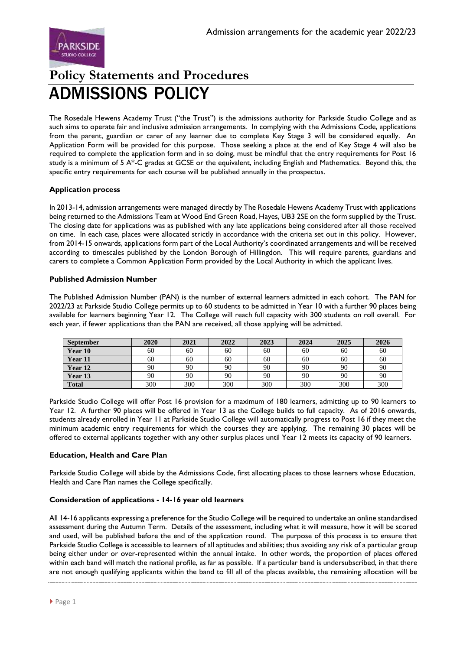

# **Policy Statements and Procedures** ADMISSIONS POLICY

The Rosedale Hewens Academy Trust ("the Trust") is the admissions authority for Parkside Studio College and as such aims to operate fair and inclusive admission arrangements. In complying with the Admissions Code, applications from the parent, guardian or carer of any learner due to complete Key Stage 3 will be considered equally. An Application Form will be provided for this purpose. Those seeking a place at the end of Key Stage 4 will also be required to complete the application form and in so doing, must be mindful that the entry requirements for Post 16 study is a minimum of 5 A\*-C grades at GCSE or the equivalent, including English and Mathematics. Beyond this, the specific entry requirements for each course will be published annually in the prospectus.

## **Application process**

In 2013-14, admission arrangements were managed directly by The Rosedale Hewens Academy Trust with applications being returned to the Admissions Team at Wood End Green Road, Hayes, UB3 2SE on the form supplied by the Trust. The closing date for applications was as published with any late applications being considered after all those received on time. In each case, places were allocated strictly in accordance with the criteria set out in this policy. However, from 2014-15 onwards, applications form part of the Local Authority's coordinated arrangements and will be received according to timescales published by the London Borough of Hillingdon. This will require parents, guardians and carers to complete a Common Application Form provided by the Local Authority in which the applicant lives.

## **Published Admission Number**

The Published Admission Number (PAN) is the number of external learners admitted in each cohort. The PAN for 2022/23 at Parkside Studio College permits up to 60 students to be admitted in Year 10 with a further 90 places being available for learners beginning Year 12. The College will reach full capacity with 300 students on roll overall. For each year, if fewer applications than the PAN are received, all those applying will be admitted.

| <b>September</b> | 2020 | 2021 | 2022 | 2023 | 2024 | 2025 | 2026 |
|------------------|------|------|------|------|------|------|------|
| Year 10          | 60   | 60   | 60   | 60   | 60   | 60   | 60   |
| Year 11          | 60   | 60   | 60   | 60   | 60   | 60   | 60   |
| Year 12          | 90   | 90   | 90   | 90   | 90   | 90   | 90   |
| Year 13          | 90   | 90   | 90   | 90   | 90   | 90   | 90   |
| <b>Total</b>     | 300  | 300  | 300  | 300  | 300  | 300  | 300  |

Parkside Studio College will offer Post 16 provision for a maximum of 180 learners, admitting up to 90 learners to Year 12. A further 90 places will be offered in Year 13 as the College builds to full capacity. As of 2016 onwards, students already enrolled in Year 11 at Parkside Studio College will automatically progress to Post 16 if they meet the minimum academic entry requirements for which the courses they are applying. The remaining 30 places will be offered to external applicants together with any other surplus places until Year 12 meets its capacity of 90 learners.

## **Education, Health and Care Plan**

Parkside Studio College will abide by the Admissions Code, first allocating places to those learners whose Education, Health and Care Plan names the College specifically.

## **Consideration of applications - 14-16 year old learners**

All 14-16 applicants expressing a preference for the Studio College will be required to undertake an online standardised assessment during the Autumn Term. Details of the assessment, including what it will measure, how it will be scored and used, will be published before the end of the application round. The purpose of this process is to ensure that Parkside Studio College is accessible to learners of all aptitudes and abilities; thus avoiding any risk of a particular group being either under or over-represented within the annual intake. In other words, the proportion of places offered within each band will match the national profile, as far as possible. If a particular band is undersubscribed, in that there are not enough qualifying applicants within the band to fill all of the places available, the remaining allocation will be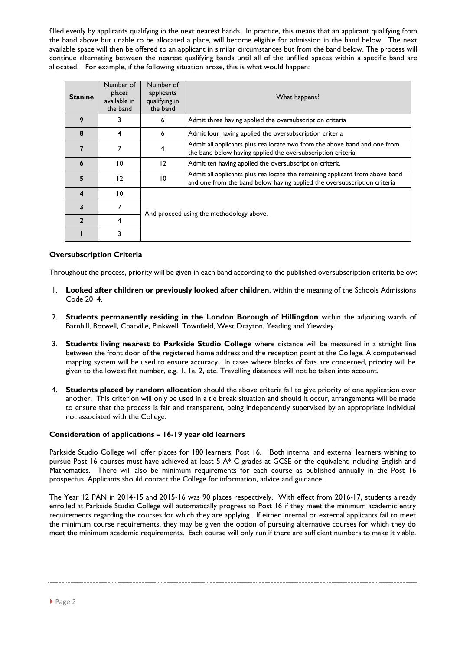filled evenly by applicants qualifying in the next nearest bands. In practice, this means that an applicant qualifying from the band above but unable to be allocated a place, will become eligible for admission in the band below. The next available space will then be offered to an applicant in similar circumstances but from the band below. The process will continue alternating between the nearest qualifying bands until all of the unfilled spaces within a specific band are allocated. For example, if the following situation arose, this is what would happen:

| <b>Stanine</b> | Number of<br>places<br>available in<br>the band | Number of<br>applicants<br>qualifying in<br>the band                                                                                          | What happens?                                                                                                                                            |  |  |
|----------------|-------------------------------------------------|-----------------------------------------------------------------------------------------------------------------------------------------------|----------------------------------------------------------------------------------------------------------------------------------------------------------|--|--|
| 9              | 3                                               | 6                                                                                                                                             | Admit three having applied the oversubscription criteria                                                                                                 |  |  |
| 8              | 4                                               | 6<br>Admit four having applied the oversubscription criteria                                                                                  |                                                                                                                                                          |  |  |
|                | 7                                               | Admit all applicants plus reallocate two from the above band and one from<br>4<br>the band below having applied the oversubscription criteria |                                                                                                                                                          |  |  |
| 6              | 10                                              | 12                                                                                                                                            | Admit ten having applied the oversubscription criteria                                                                                                   |  |  |
| 5              | 12                                              | $\overline{0}$                                                                                                                                | Admit all applicants plus reallocate the remaining applicant from above band<br>and one from the band below having applied the oversubscription criteria |  |  |
| 4              | 10                                              |                                                                                                                                               |                                                                                                                                                          |  |  |
| 3              | 7                                               | And proceed using the methodology above.                                                                                                      |                                                                                                                                                          |  |  |
| 2              | 4                                               |                                                                                                                                               |                                                                                                                                                          |  |  |
|                | 3                                               |                                                                                                                                               |                                                                                                                                                          |  |  |

#### **Oversubscription Criteria**

Throughout the process, priority will be given in each band according to the published oversubscription criteria below:

- 1. **Looked after children or previously looked after children**, within the meaning of the Schools Admissions Code 2014.
- 2. **Students permanently residing in the London Borough of Hillingdon** within the adjoining wards of Barnhill, Botwell, Charville, Pinkwell, Townfield, West Drayton, Yeading and Yiewsley.
- 3. **Students living nearest to Parkside Studio College** where distance will be measured in a straight line between the front door of the registered home address and the reception point at the College. A computerised mapping system will be used to ensure accuracy. In cases where blocks of flats are concerned, priority will be given to the lowest flat number, e.g. 1, 1a, 2, etc. Travelling distances will not be taken into account.
- 4. **Students placed by random allocation** should the above criteria fail to give priority of one application over another. This criterion will only be used in a tie break situation and should it occur, arrangements will be made to ensure that the process is fair and transparent, being independently supervised by an appropriate individual not associated with the College.

#### **Consideration of applications – 16-19 year old learners**

Parkside Studio College will offer places for 180 learners, Post 16. Both internal and external learners wishing to pursue Post 16 courses must have achieved at least 5 A\*-C grades at GCSE or the equivalent including English and Mathematics. There will also be minimum requirements for each course as published annually in the Post 16 prospectus. Applicants should contact the College for information, advice and guidance.

The Year 12 PAN in 2014-15 and 2015-16 was 90 places respectively. With effect from 2016-17, students already enrolled at Parkside Studio College will automatically progress to Post 16 if they meet the minimum academic entry requirements regarding the courses for which they are applying. If either internal or external applicants fail to meet the minimum course requirements, they may be given the option of pursuing alternative courses for which they do meet the minimum academic requirements. Each course will only run if there are sufficient numbers to make it viable.